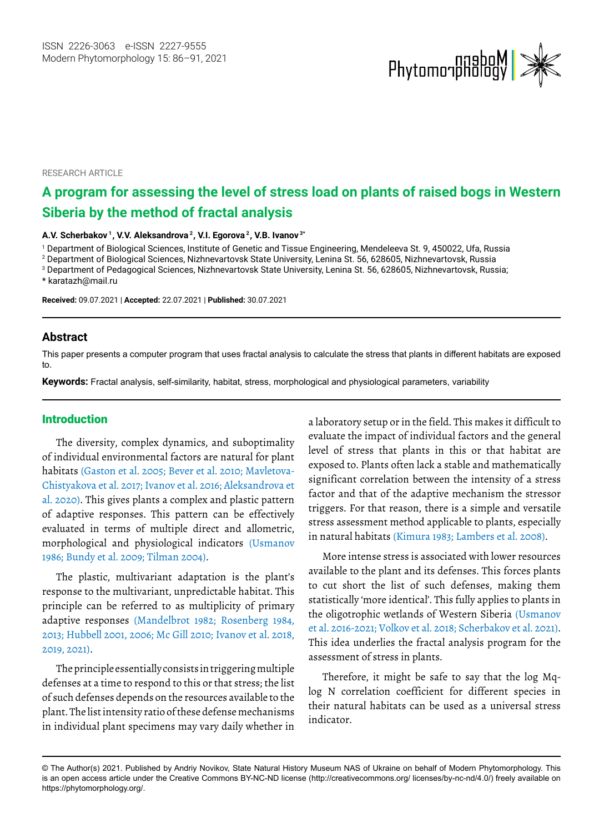

RESEARCH ARTICLE

# **A program for assessing the level of stress load on plants of raised bogs in Western Siberia by the method of fractal analysis**

**A.V. Scherbakov 1, V.V. Aleksandrova 2, V.I. Egorova 2 , V.B. Ivanov 3\***

1 Department of Biological Sciences, Institute of Genetic and Tissue Engineering, Mendeleeva St. 9, 450022, Ufa, Russia

2 Department of Biological Sciences, Nizhnevartovsk State University, Lenina St. 56, 628605, Nizhnevartovsk, Russia

3 Department of Pedagogical Sciences, Nizhnevartovsk State University, Lenina St. 56, 628605, Nizhnevartovsk, Russia;

\* [karatazh@mail.ru](mailto:karatazh@mail.ru)

**Received:** 09.07.2021 | **Accepted:** 22.07.2021 | **Published:** 30.07.2021

#### **Abstract**

This paper presents a computer program that uses fractal analysis to calculate the stress that plants in different habitats are exposed to.

**Keywords:** Fractal analysis, self-similarity, habitat, stress, morphological and physiological parameters, variability

#### Introduction

The diversity, complex dynamics, and suboptimality of individual environmental factors are natural for plant habitats (Gaston et al. 2005; Bever et al. 2010; Mavletova-Chistyakova et al. 2017; Ivanov et al. 2016; Aleksandrova et al. 2020). This gives plants a complex and plastic pattern of adaptive responses. This pattern can be effectively evaluated in terms of multiple direct and allometric, morphological and physiological indicators (Usmanov 1986; Bundy et al. 2009; Tilman 2004).

The plastic, multivariant adaptation is the plant's response to the multivariant, unpredictable habitat. This principle can be referred to as multiplicity of primary adaptive responses (Mandelbrot 1982; Rosenberg 1984, 2013; Hubbell 2001, 2006; Mc Gill 2010; Ivanov et al. 2018, 2019, 2021).

The principle essentially consists in triggering multiple defenses at a time to respond to this or that stress; the list of such defenses depends on the resources available to the plant. The list intensity ratio of these defense mechanisms in individual plant specimens may vary daily whether in

a laboratory setup or in the field. This makes it difficult to evaluate the impact of individual factors and the general level of stress that plants in this or that habitat are exposed to. Plants often lack a stable and mathematically significant correlation between the intensity of a stress factor and that of the adaptive mechanism the stressor triggers. For that reason, there is a simple and versatile stress assessment method applicable to plants, especially in natural habitats (Kimura 1983; Lambers et al. 2008).

More intense stress is associated with lower resources available to the plant and its defenses. This forces plants to cut short the list of such defenses, making them statistically 'more identical'. This fully applies to plants in the oligotrophic wetlands of Western Siberia (Usmanov et al. 2016-2021; Volkov et al. 2018; Scherbakov et al. 2021). This idea underlies the fractal analysis program for the assessment of stress in plants.

Therefore, it might be safe to say that the log Mqlog N correlation coefficient for different species in their natural habitats can be used as a universal stress indicator.

<sup>©</sup> The Author(s) 2021. Published by Andriy Novikov, State Natural History Museum NAS of Ukraine on behalf of Modern Phytomorphology. This is an open access article under the Creative Commons BY-NC-ND license (http://creativecommons.org/ licenses/by-nc-nd/4.0/) freely available on https://phytomorphology.org/.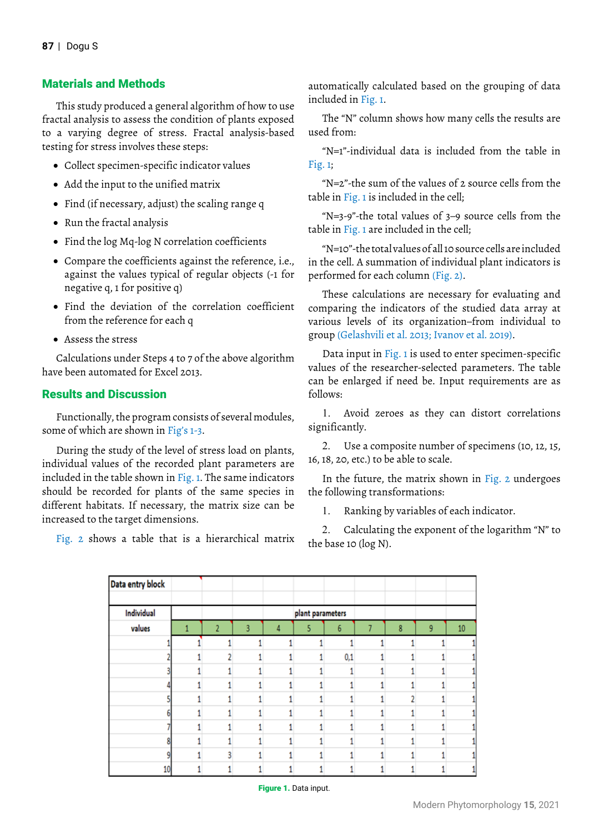# Materials and Methods

This study produced a general algorithm of how to use fractal analysis to assess the condition of plants exposed to a varying degree of stress. Fractal analysis-based testing for stress involves these steps:

- • Collect specimen-specific indicator values
- Add the input to the unified matrix
- Find (if necessary, adjust) the scaling range q
- • Run the fractal analysis
- • Find the log Mq-log N correlation coefficients
- Compare the coefficients against the reference, i.e., against the values typical of regular objects (-1 for negative q, 1 for positive q)
- • Find the deviation of the correlation coefficient from the reference for each q
- • Assess the stress

Calculations under Steps 4 to 7 of the above algorithm have been automated for Excel 2013.

# Results and Discussion

Functionally, the program consists of several modules, some of which are shown in Fig's 1-3.

During the study of the level of stress load on plants, individual values of the recorded plant parameters are included in the table shown in Fig. 1. The same indicators should be recorded for plants of the same species in different habitats. If necessary, the matrix size can be increased to the target dimensions.

Fig. 2 shows a table that is a hierarchical matrix

automatically calculated based on the grouping of data included in Fig. 1.

The "N" column shows how many cells the results are used from:

"N=1"-individual data is included from the table in  $Fig. 1$ ;

"N=2"-the sum of the values of 2 source cells from the table in Fig. 1 is included in the cell;

"N=3-9"-the total values of 3–9 source cells from the table in Fig. 1 are included in the cell;

"N=10"-the total values of all 10 source cells are included in the cell. A summation of individual plant indicators is performed for each column (Fig. 2).

These calculations are necessary for evaluating and comparing the indicators of the studied data array at various levels of its organization–from individual to group (Gelashvili et al. 2013; Ivanov et al. 2019).

Data input in Fig. 1 is used to enter specimen-specific values of the researcher-selected parameters. The table can be enlarged if need be. Input requirements are as follows:

1. Avoid zeroes as they can distort correlations significantly.

2. Use a composite number of specimens (10, 12, 15, 16, 18, 20, etc.) to be able to scale.

In the future, the matrix shown in Fig. 2 undergoes the following transformations:

1. Ranking by variables of each indicator.

2. Calculating the exponent of the logarithm "N" to the base 10 (log N).

| Data entry block |   |   |   |                  |     |   |   |    |
|------------------|---|---|---|------------------|-----|---|---|----|
| Individual       |   |   |   | plant parameters |     |   |   |    |
| values           | 2 | 3 | Δ | 5                | 6   | 8 | 9 | 10 |
|                  |   |   |   |                  |     |   |   |    |
|                  |   |   |   |                  | 0,1 |   |   |    |
|                  |   |   |   |                  |     |   |   |    |
|                  |   |   |   |                  |     |   |   |    |
|                  |   |   |   |                  |     |   |   |    |
|                  |   |   |   |                  |     |   |   |    |
|                  |   |   |   |                  |     |   |   |    |
|                  |   |   |   |                  |     |   |   |    |
|                  |   |   |   |                  |     |   |   |    |
| 10               |   |   |   |                  |     |   |   |    |

Figure 1. Data input.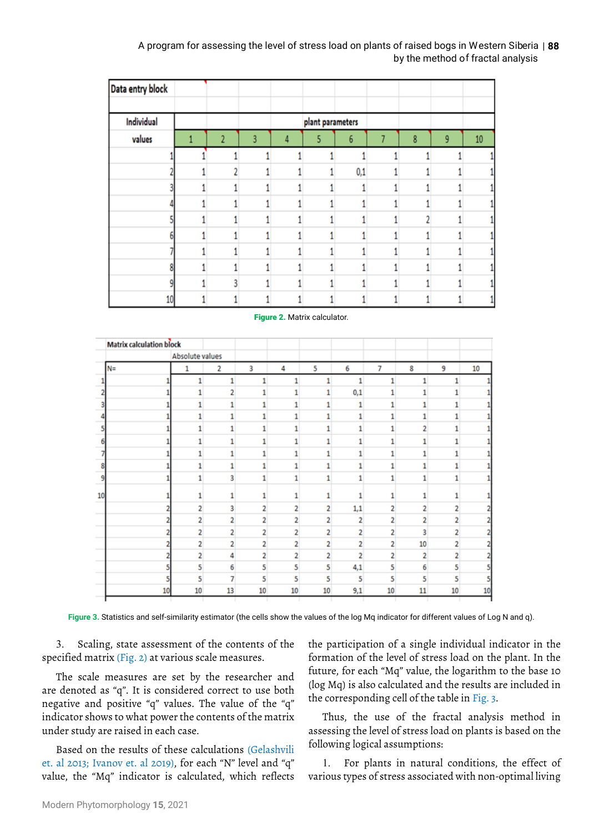## by the method of fractal analysis A program for assessing the level of stress load on plants of raised bogs in Western Siberia | **88**

| Data entry block |  |   |   |                  |                  |   |   |        |
|------------------|--|---|---|------------------|------------------|---|---|--------|
|                  |  |   |   |                  |                  |   |   |        |
| Individual       |  |   |   | plant parameters |                  |   |   |        |
| values           |  | 3 | 4 | 5                | $\boldsymbol{6}$ | 8 | 9 | $10\,$ |
|                  |  |   |   |                  |                  |   |   |        |
|                  |  |   |   |                  | 0,1              |   |   |        |
|                  |  |   |   |                  |                  |   |   |        |
|                  |  |   |   |                  |                  |   |   |        |
|                  |  |   |   |                  |                  |   |   |        |
|                  |  |   |   |                  |                  |   |   |        |
|                  |  |   |   |                  |                  |   |   |        |
| ٥                |  |   |   |                  |                  |   |   |        |
|                  |  |   |   |                  |                  |   |   |        |
| 10               |  |   |   |                  |                  |   |   |        |

#### Figure 2. Matrix calculator.

| <b>Matrix calculation block</b> |                 |                |    |                |                |                |                |    |    |    |
|---------------------------------|-----------------|----------------|----|----------------|----------------|----------------|----------------|----|----|----|
|                                 | Absolute values |                |    |                |                |                |                |    |    |    |
| $N =$                           | 1               | 2              | 3  | 4              | 5              | 6              | 7              | 8  | 9  | 10 |
|                                 | 1               | 1              |    | 1              |                |                |                |    |    |    |
|                                 |                 | 2              |    |                |                | 0,1            |                |    |    |    |
|                                 | 1               | 1              |    |                |                |                |                |    |    |    |
|                                 | 1               | 1              | ۹  | 1              | ٦              | ۹              | ۹              |    |    |    |
|                                 | 1               | 1              |    | 1              | 1              |                | 1              | 2  |    |    |
|                                 | 1               | 1              |    |                |                |                |                |    |    |    |
|                                 |                 |                |    |                |                |                |                |    |    |    |
|                                 | 1               | 1              | 1  | 1              | 1              |                | 1              |    |    |    |
|                                 | 1               | 3              | 1  |                | 1              |                | 1              | 1  | 1  |    |
| 10                              |                 | 1              |    |                | 1              |                | ۹              |    |    |    |
|                                 | 2               | 3              | 2  | 2              | 2              | 1,1            | 2              | 2  | 2  |    |
|                                 | 2               | 2              | 2  | 2              | 2              | 2              | 2              | 2  | 2  |    |
|                                 | 2               | 2              | 2  | 2              | 2              | $\overline{2}$ | 2              | 3  | 2  |    |
|                                 | $\overline{2}$  | $\overline{2}$ | 2  | $\overline{2}$ | $\overline{a}$ |                | $\overline{a}$ | 10 | 2  |    |
|                                 | 2               | Δ              | 2  | 2              | 2              |                | 2              | 2  | 2  |    |
|                                 | 5               | 6              | 5  | 5              | 5              | 4,1            | 5              | 6  | 5  |    |
|                                 | 5               | 7              | 5  | 5              | 5              | 5              | 5              | 5  | 5  |    |
|                                 | 10<br>10        | 13             | 10 | 10             | 10             | 9,1            | 10             | 11 | 10 | 10 |

**Figure 3.** Statistics and self-similarity estimator (the cells show the values of the log Mq indicator for different values of Log N and q).

3. Scaling, state assessment of the contents of the specified matrix (Fig. 2) at various scale measures.

The scale measures are set by the researcher and are denoted as "q". It is considered correct to use both negative and positive "q" values. The value of the "q" indicator shows to what power the contents of the matrix under study are raised in each case.

Based on the results of these calculations (Gelashvili et. al 2013; Ivanov et. al 2019), for each "N" level and "q" value, the "Mq" indicator is calculated, which reflects the participation of a single individual indicator in the formation of the level of stress load on the plant. In the future, for each "Mq" value, the logarithm to the base 10 (log Mq) is also calculated and the results are included in the corresponding cell of the table in Fig. 3.

Thus, the use of the fractal analysis method in assessing the level of stress load on plants is based on the following logical assumptions:

1. For plants in natural conditions, the effect of various types of stress associated with non-optimal living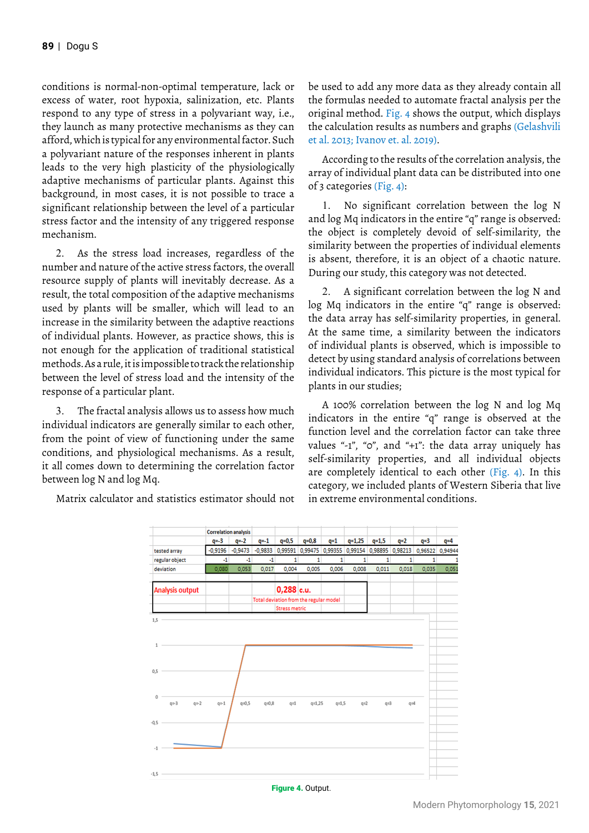conditions is normal-non-optimal temperature, lack or excess of water, root hypoxia, salinization, etc. Plants respond to any type of stress in a polyvariant way, i.e., they launch as many protective mechanisms as they can afford, which is typical for any environmental factor. Such a polyvariant nature of the responses inherent in plants leads to the very high plasticity of the physiologically adaptive mechanisms of particular plants. Against this background, in most cases, it is not possible to trace a significant relationship between the level of a particular stress factor and the intensity of any triggered response mechanism.

2. As the stress load increases, regardless of the number and nature of the active stress factors, the overall resource supply of plants will inevitably decrease. As a result, the total composition of the adaptive mechanisms used by plants will be smaller, which will lead to an increase in the similarity between the adaptive reactions of individual plants. However, as practice shows, this is not enough for the application of traditional statistical methods. As a rule, it is impossible to track the relationship between the level of stress load and the intensity of the response of a particular plant.

3. The fractal analysis allows us to assess how much individual indicators are generally similar to each other, from the point of view of functioning under the same conditions, and physiological mechanisms. As a result, it all comes down to determining the correlation factor between log N and log Mq.

Matrix calculator and statistics estimator should not

be used to add any more data as they already contain all the formulas needed to automate fractal analysis per the original method. Fig. 4 shows the output, which displays the calculation results as numbers and graphs (Gelashvili et al. 2013; Ivanov et. al. 2019).

According to the results of the correlation analysis, the array of individual plant data can be distributed into one of 3 categories (Fig. 4):

1. No significant correlation between the log N and log Mq indicators in the entire "q" range is observed: the object is completely devoid of self-similarity, the similarity between the properties of individual elements is absent, therefore, it is an object of a chaotic nature. During our study, this category was not detected.

2. A significant correlation between the log N and log Mq indicators in the entire "q" range is observed: the data array has self-similarity properties, in general. At the same time, a similarity between the indicators of individual plants is observed, which is impossible to detect by using standard analysis of correlations between individual indicators. This picture is the most typical for plants in our studies;

A 100% correlation between the log N and log Mq indicators in the entire "q" range is observed at the function level and the correlation factor can take three values "-1", "0", and "+1": the data array uniquely has self-similarity properties, and all individual objects are completely identical to each other (Fig. 4). In this category, we included plants of Western Siberia that live in extreme environmental conditions.

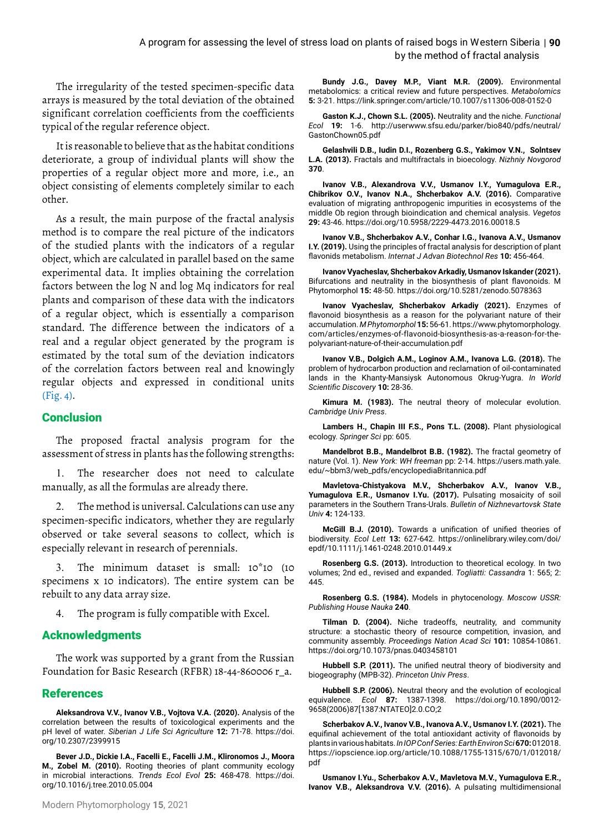The irregularity of the tested specimen-specific data arrays is measured by the total deviation of the obtained significant correlation coefficients from the coefficients typical of the regular reference object.

It is reasonable to believe that as the habitat conditions deteriorate, a group of individual plants will show the properties of a regular object more and more, i.e., an object consisting of elements completely similar to each other.

As a result, the main purpose of the fractal analysis method is to compare the real picture of the indicators of the studied plants with the indicators of a regular object, which are calculated in parallel based on the same experimental data. It implies obtaining the correlation factors between the log N and log Mq indicators for real plants and comparison of these data with the indicators of a regular object, which is essentially a comparison standard. The difference between the indicators of a real and a regular object generated by the program is estimated by the total sum of the deviation indicators of the correlation factors between real and knowingly regular objects and expressed in conditional units (Fig. 4).

#### **Conclusion**

The proposed fractal analysis program for the assessment of stress in plants has the following strengths:

1. The researcher does not need to calculate manually, as all the formulas are already there.

2. The method is universal. Calculations can use any specimen-specific indicators, whether they are regularly observed or take several seasons to collect, which is especially relevant in research of perennials.

3. The minimum dataset is small: 10\*10 (10 specimens x 10 indicators). The entire system can be rebuilt to any data array size.

4. The program is fully compatible with Excel.

# Acknowledgments

The work was supported by a grant from the Russian Foundation for Basic Research (RFBR) 18-44-860006 r\_a.

# References

**Aleksandrova V.V., Ivanov V.B., Vojtova V.A. (2020).** Analysis of the correlation between the results of toxicological experiments and the pH level of water. *Siberian J Life Sci Agriculture* **12:** 71-78. [https://doi.](https://doi.org/10.2307/2399915) [org/10.2307/2399915](https://doi.org/10.2307/2399915)

**Bever J.D., Dickie I.A., Facelli E., Facelli J.M., Klironomos J., Moora M., Zobel M. (2010).** Rooting theories of plant community ecology in microbial interactions. *Trends Ecol Evol* **25:** 468-478. [https://doi.](https://doi.org/10.1016/j.tree.2010.05.004) [org/10.1016/j.tree.2010.05.004](https://doi.org/10.1016/j.tree.2010.05.004)

**Bundy J.G., Davey M.P., Viant M.R. (2009).** Environmental metabolomics: a critical review and future perspectives. *Metabolomics* **5:** 3-21.<https://link.springer.com/article/10.1007/s11306-008-0152-0>

**Gaston K.J., Chown S.L. (2005).** Neutrality and the niche. *Functional Ecol* **19:** 1-6. [http://userwww.sfsu.edu/parker/bio840/pdfs/neutral/](http://userwww.sfsu.edu/parker/bio840/pdfs/neutral/GastonChown05.pdf) [GastonChown05.pdf](http://userwww.sfsu.edu/parker/bio840/pdfs/neutral/GastonChown05.pdf)

**Gelashvili D.B., Iudin D.I., Rozenberg G.S., Yakimov V.N., Solntsev L.A. (2013).** Fractals and multifractals in bioecology. *Nizhniy Novgorod* **370**.

**Ivanov V.B., Alexandrova V.V., Usmanov I.Y., Yumagulova E.R., Chibrikov O.V., Ivanov N.A., Shcherbakov A.V. (2016).** Comparative evaluation of migrating anthropogenic impurities in ecosystems of the middle Ob region through bioindication and chemical analysis. *Vegetos* **29:** 43-46.<https://doi.org/10.5958/2229-4473.2016.00018.5>

**Ivanov V.B., Shcherbakov A.V., Conhar I.G., Ivanova A.V., Usmanov I.Y. (2019).** Using the principles of fractal analysis for description of plant flavonids metabolism. *Internat J Advan Biotechnol Res* **10:** 456-464.

**Ivanov Vyacheslav, Shcherbakov Arkadiy, Usmanov Iskander (2021).** Bifurcations and neutrality in the biosynthesis of plant flavonoids. M Phytomorphol **15:** 48-50.<https://doi.org/10.5281/zenodo.5078363>

**Ivanov Vyacheslav, Shcherbakov Arkadiy (2021).** Enzymes of flavonoid biosynthesis as a reason for the polyvariant nature of their accumulation. *M Phytomorphol***15:** 56-61. [https://www.phytomorphology.](https://www.phytomorphology.com/articles/enzymes-of-flavonoid-biosynthesis-as-a-reason-for-the-polyvariant-nature-of-their-accumulation.pdf) [com/articles/enzymes-of-flavonoid-biosynthesis-as-a-reason-for-the](https://www.phytomorphology.com/articles/enzymes-of-flavonoid-biosynthesis-as-a-reason-for-the-polyvariant-nature-of-their-accumulation.pdf)[polyvariant-nature-of-their-accumulation.pdf](https://www.phytomorphology.com/articles/enzymes-of-flavonoid-biosynthesis-as-a-reason-for-the-polyvariant-nature-of-their-accumulation.pdf)

**Ivanov V.B., Dolgich А.М., Loginov А.М., Ivanovа L.G. (2018).** The problem of hydrocarbon production and reclamation of oil-contaminated lands in the Khanty-Mansiysk Autonomous Okrug-Yugra. *In World Scientific Discovery* **10:** 28-36.

**Kimura M. (1983).** The neutral theory of molecular evolution. *Cambridge Univ Press*.

**Lambers H., Chapin III F.S., Pons T.L. (2008).** Plant physiological ecology. *Springer Sci* pp: 605.

**Mandelbrot B.B., Mandelbrot B.B. (1982).** The fractal geometry of nature (Vol. 1). *New York: WH freeman* pp: 2-14. [https://users.math.yale.](https://users.math.yale.edu/~bbm3/web_pdfs/encyclopediaBritannica.pdf) [edu/~bbm3/web\\_pdfs/encyclopediaBritannica.pdf](https://users.math.yale.edu/~bbm3/web_pdfs/encyclopediaBritannica.pdf)

**Mavletova-Chistyakova M.V., Shcherbakov A.V., Ivanov V.B.,**  Yumagulova E.R., Usmanov I.Yu. (2017). Pulsating mosaicity of soil parameters in the Southern Trans-Urals. *Bulletin of Nizhnevartovsk State Univ* **4:** 124-133.

**McGill B.J. (2010).** Towards a unification of unified theories of biodiversity. *Ecol Lett* **13:** 627-642. [https://onlinelibrary.wiley.com/doi/](https://onlinelibrary.wiley.com/doi/epdf/10.1111/j.1461-0248.2010.01449.x) [epdf/10.1111/j.1461-0248.2010.01449.x](https://onlinelibrary.wiley.com/doi/epdf/10.1111/j.1461-0248.2010.01449.x)

**Rosenberg G.S. (2013).** Introduction to theoretical ecology. In two volumes; 2nd ed., revised and expanded. *Togliatti: Cassandra* 1: 565; 2: 445.

**Rosenberg G.S. (1984).** Models in phytocenology. *Мoscow USSR: Publishing House Nauka* **240**.

**Tilman D. (2004).** Niche tradeoffs, neutrality, and community structure: a stochastic theory of resource competition, invasion, and community assembly. *Proceedings Nation Acad Sci* **101:** 10854-10861. <https://doi.org/10.1073/pnas.0403458101>

**Hubbell S.P. (2011).** The unified neutral theory of biodiversity and biogeography (MPB-32). *Princeton Univ Press*.

**Hubbell S.P. (2006).** Neutral theory and the evolution of ecological equivalence. *Ecol* **87:** 1387-1398. [https://doi.org/10.1890/0012-](https://doi.org/10.1890/0012-9658(2006)87%5b1387:NTATEO%5d2.0.CO;2) [9658\(2006\)87\[1387:NTATEO\]2.0.CO;2](https://doi.org/10.1890/0012-9658(2006)87%5b1387:NTATEO%5d2.0.CO;2)

**Scherbakov A.V., Ivanov V.B., Ivanova A.V., Usmanov I.Y. (2021).** The equifinal achievement of the total antioxidant activity of flavonoids by plants in various habitats. *In IOP Conf Series: Earth Environ Sci***670:** 012018. [https://iopscience.iop.org/article/10.1088/1755-1315/670/1/012018/](https://iopscience.iop.org/article/10.1088/1755-1315/670/1/012018/pdf) [pdf](https://iopscience.iop.org/article/10.1088/1755-1315/670/1/012018/pdf)

**Usmanov I.Yu., Scherbakov A.V., Mavletova M.V., Yumagulova E.R., Ivanov V.B., Aleksandrova V.V. (2016).** A pulsating multidimensional